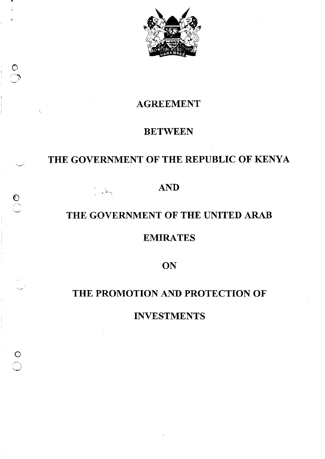

# AGREEMENT

 $\circ$ */----"*  •

 $\overline{\mathcal{O}}$ 

 $\circ$ 

# **BETWEEN**

# THE GOVERNMENT OF THE REPUBLIC OF KENYA

# AND

# THE GOVERNMENT OF THE UNITED ARAB

# EMIRATES

**ON** 

# THE PROMOTION AND PROTECTION OF

INVESTMENTS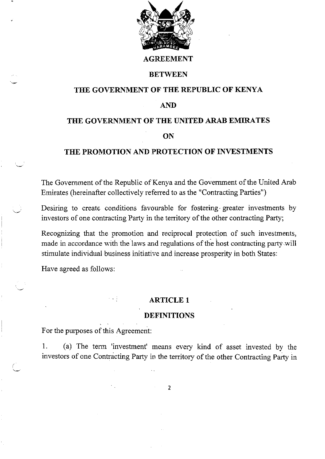

#### **AGREEMENT**

#### **BETWEEN**

## **THE GOVERNMENT OF THE REPUBLIC OF KENYA**

#### **AND**

#### **THE GOVERNMENT OF THE UNITED ARAB EMIRATES**

#### **ON**

#### **THE PROMOTION AND PROTECTION OF INVESTMENTS**

The Government of the Republic of Kenya and the Government of the United Arab Emirates (hereinafter collectively referred to as the "Contracting Parties")

Desiring to create conditions favourable for fostering~ greater investments by investors of one contracting Party in the territory of the other contracting Party;

Recognizing that the promotion and reciprocal protection of such investments, made in accordance with the laws and regulations of the host contracting party will stimulate individual business initiative and increase prosperity in both States:

Have agreed as follows:

( ~

#### **ARTICLE 1**

#### **DEFINITIONS**

For the purposes of this Agreement:

1. (a) The term 'investment' means every kind of asset invested by the investors of one Contracting Party in the territory of the other Contracting Party in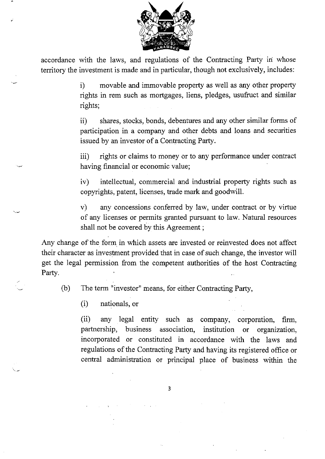

accordance with the laws, and regulations of the Contracting Party in whose territory the investment is made and in particular, though not exclusively, includes:

> i) movable and immovable property as well as any other property rights in rem such as mortgages, liens, pledges, usufruct and similar rights;

> ii) shares, stocks, bonds, debentures and any other similar forms of participation in a company and other debts and loans and securities issued by an investor of a Contracting Party.

> iii) rights or claims to money or to any performance under contract having financial or economic value;

> iv) intellectual, commercial and industrial property rights such as copyrights, patent, licenses, trade mark and goodwill.

> v) any concessions conferred by law, under contract or by virtue of any licenses or permits granted pursuant to law. Natural resources shall not be covered by this Agreement ;

Any change of the form in which assets are invested or reinvested does not affect their character as investment provided that in case of such change, the investor will get the legal permission from the comperent authorities of the host Contracting Party.

(b) The term "investor" means, for either Contracting Party,

(i) nationals, or

(ii) any legal entity such as company, corporation, firm, partnership, business association, institution or organization, incorporated or constituted in accordance with the laws and regulations of the Contracting Party and having its registered office or central administration or principal place of business within the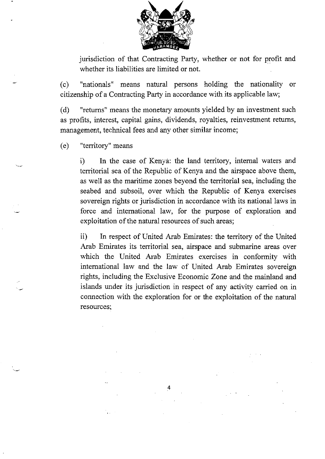

jurisdiction of that Contracting Party, whether or not for profit and whether its liabilities are limited or not.

(c) "nationals" means natural persons holding the nationality or citizenship of a Contracting Party in accordance with its applicable law;

(d) "returns" means the monetary amounts yielded by an investment such as profits, interest, capital gains, dividends, royalties, reinvestment returns, management, technical fees and any other similar income;

(e) "territory" means

i) In the case of Kenya: the land territory, internal waters and territorial sea of the Republic of Kenya and the airspace above them, as well as the maritime zones beyond the territorial sea, including the seabed and subsoil, over which the Republic of Kenya exercises sovereign rights or jurisdiction in accordance with its national laws in force and international law, for the purpose of exploration and exploitation of the natural resources of such areas;

ii) In respect of United Arab Emirates: the territory of the United Arab Emirates its territorial sea, airspace and submarine areas over which the United Arab Emirates exercises in conformity with international law and the law of United Arab Emirates sovereign rights, including the Exciusive Economic Zone and the mainland and islands under its jurisdiction in respect of any activity carried on in connection with the exploration for or the exploitation of the natural resources;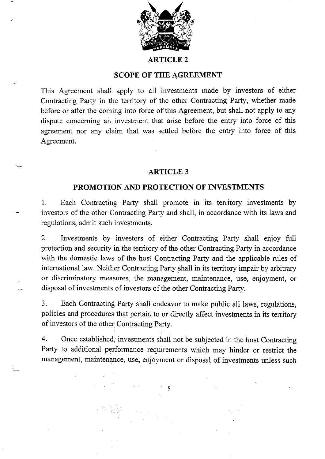

#### **ARTICLE2**

### **SCOPE OF THE AGREEMENT**

This Agreement shall apply to all investments made by investors of either Contracting Party in the territory of the other Contracting Party, whether made before or after the coming into force of this Agreement, but shall not apply to any dispute concerning an investment that arise before the entry into force of this agreement nor any claim that was settled before the entry into force of this Agreement.

### **ARTICLE3**

#### **PROMOTION AND PROTECTION OF INVESTMENTS**

1. Each Contracting Parry shall promote in its territory investments by investors of the other Contracting Party and shall, in accordance with its laws and regulations, admit such investments.

2. Investments by investors of either Contracting Party shall enjoy full protection and security in the territory of the other Contracting Party in accordance with the domestic laws of the host Contracting Party and the applicable rules of international law. Neither Contracting Party shall in its territory impair by arbitrary or discriminatory measures, the management, maintenance, use, enjoyment, or disposal of investments of investors of the other Contracting Party.

3. Each Contracting Party shall endeavor to make public all laws, regulations, policies and procedures that pertain to or directly affect investments in its territory of investors of the other Contracting Party.

4. Once established, investments shall not be subjected in the host Contracting Party to additional performance requirements which may hinder or restrict the management, maintenance, use, enjoyment or disposal of investments unless such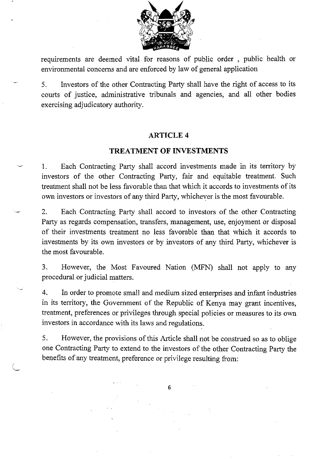

requirements are deemed vital for reasons of public order , public health or environmental concerns and are enforced by law of general application

5. Investors of the other Contracting Party shall have the right of access to its courts of justice, administrative tribunals and agencies, and all other bodies exercising adjudicatory authority.

## **ARTICLE 4**

## **TREATMENT OF INVESTMENTS**

1. Each Contracting Party shall accord investments made in its territory by investors of the other Contracting Party, fair and equitable treatment Such treatment shall not be less favorable than that which it accords to investments of its own investors or investors of any third Party, whichever is the most favourable.

2. Each Contracting Party shall accord to investors of the other Contracting Party as regards compensation, transfers, management, use, enjoyment or disposal of their investments treatment no less favorable than that which it accords to investments by its own investors or by investors of any third Party, whichever is the most favourable.

3. However, the Most Favoured Nation (MFN) shall not apply to any procedural or judicial matters.

4. In order to promote small and medium sized enterprises and infant industries in its territory, the Government of the Republic of Kenya may grant incentives, treatment, preferences or privileges through special policies or measures to its own investors in accordance with its laws and regulations.

5. However, the provisions of this Article shall not be construed so as to oblige one Contracting Party to extend to the investors of the other Contracting Party the benefits of any treatment, preference or privilege resulting from: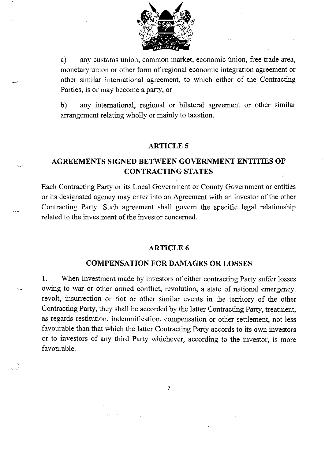

a) any customs union, common market, economic union, free trade area, monetary union or other form of regional economic integration agreement or other similar international agreement, to which either of the Contracting Parties, is or may become a party, or

b) any international, regional or bilateral agreement or other similar arrangement relating wholly or mainly to taxation.

#### **ARTICLES**

# **AGREEMENTS SIGNED BETWEEN GOVERNMENT ENTITIES OF CONTRACTING STATES**

Each Contracting Party or its Local Government or County Government or entities or its designated agency may enter into an Agreement with an investor of the other Contracting Party. Such agreement shall govern the specific legal relationship related to the investment of the investor concerned.

## **ARTICLE6**

### **COMPENSATION FOR DAMAGES OR LOSSES**

1. When Investment made by investors of either contracting Party suffer losses owing to war or other armed conflict, revolution, a state of national emergency. revolt, insurrection or riot or other similar events in the territory of the other Contracting Party, they shall be accorded by the latter Contracting Party, treatment, as regards restitution, indemnification, compensation or other settlement, not less favourable than that which the latter Contracting Party accords to its own investors or to investors of any third Party whichever, according to the investor, is more favourable.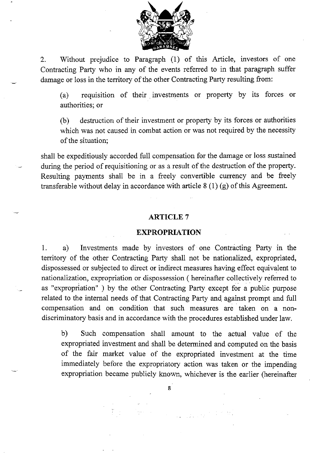

2. Without prejudice to Paragraph (1) of this Article, investors of one Contracting Party who in any of the events referred to in that paragraph suffer damage or loss in the territory of the other Contracting Party resulting from:

(a) requisition of their investments or property by its forces or authorities; or

(b) destruction of their investment or property by its forces or authorities which was not caused in combat action or was not required by the necessity of the situation;

shall be expeditiously accorded full compensation for the damage or loss sustained during the period of requisitioning or as a result of the destruction of the property. Resulting payments shall be in a freely convertible currency and be freely transferable without delay in accordance with article 8 (1) (g) of this Agreement.

#### **ARTICLE** 7

#### **EXPROPRIATION**

1. a) Investments made by investors of one Contracting Party in the territory of the other Contracting Party shall not be nationalized, expropriated, dispossessed or subjected to direct or indirect measures having effect equivalent to nationalization, expropriation or dispossession ( hereinafter collectively referred to as "expropriation" ) by the other Contracting Party except for a public purpose related to the internal needs of that Contracting Party and against prompt and full compensation and on condition that such measures are taken on a nondiscriminatory basis and in accordance with the procedures established under law.

b) Such compensation shall amount to the actual value of the expropriated investment and shall be determined and computed on the basis of the fair market value of the expropriated investment at the time immediately before the expropriatory action was taken or the impending expropriation became publicly known, whichever is the earlier (hereinafter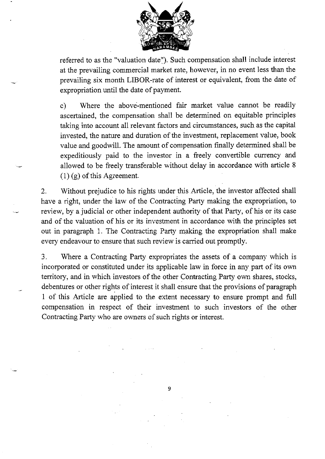

referred to as the "valuation date"). Such compensation shall include interest at the prevailing commercial market rate, however, in no event less than the prevailing six month LIBOR-rate of interest or equivalent, from the date of expropriation until the date of payment.

c) Where the above-mentioned fair market value cannot be readily ascertained, the compensation shall be determined on equitable principles taking into account all relevant factors and circumstances, such as the capital invested, the nature and duration of the investment, replacement value, book value and goodwill. The amount of compensation finally determined shall be expeditiously paid to the investor in a freely convertible currency and allowed to be freely transferable without delay in accordance with article 8  $(1)$  (g) of this Agreement.

2. Without prejudice to his rights under this Article, the investor affected shall have a right, under the law of the Contracting Party making the expropriation, to review, by a judicial or other independent authority of that Party, of his or its case and of the valuation of his or its investment in accordance with the principles set out in paragraph 1. The Contracting Party making the expropriation shall make every endeavour to ensure that such review is carried out promptly.

3. Where a Contracting Party expropriates the assets of a company which is incorporated or constituted under its applicable law in force in any part of its own territory, and in which investors of the other Contracting Party own shares, stocks, debentures or other rights of interest it shall ensure that the provisions of paragraph 1 of this Article are applied to the extent necessary to ensure prompt and full compensation in respect of their investment to such investors of the other Contracting Party who are owners of such rights or interest.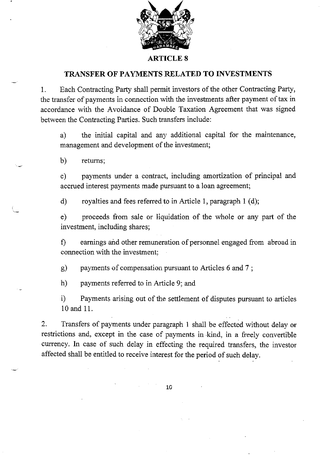

#### **ARTICLE 8**

## **TRANSFER OF PAYMENTS RELATED TO INVESTMENTS**

1. Each Contracting Party shall permit investors of the other Contracting Party, the transfer of payments in connection with the investments after payment of tax in accordance with the Avoidance of Double Taxation Agreement that was signed between the Contracting Parties. Such transfers include:

a) the initial capital and any additional capital for the maintenance, management and development of the investment;

b) returns;

c) payments under a contract, including amortization of principal and accrued interest payments made pursuant to a loan agreement;

d) royalties and fees referred to in Article 1, paragraph 1 (d);

e) proceeds from sale or liquidation of the whole or any part of the investment, including shares;

f) earnings and other remuneration of personnel engaged from abroad in connection with the investment;

g) payments of compensation pursuant to Articles 6 and 7 ;

h) payments referred to in Article 9; and

i) Payments arising out of the settlement of disputes pursuant to articles 10 and 11.

2. Transfers of payments under paragraph I shall be effected without delay or restrictions and, except in the case of payments in -kind, in a freely convertible currency. In case of such delay in effecting the required transfers, the investor affected shall be entitled to receive interest for the period of such delay.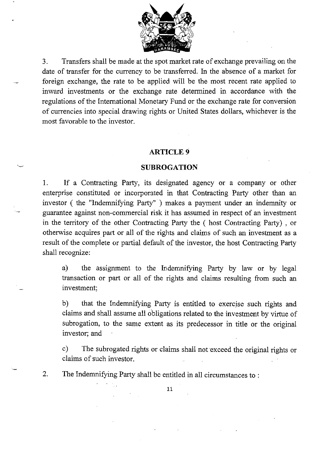

3. Transfers shall be made at the spot market rate of exchange prevailing on the date of transfer for the currency to be transferred. In the absence of a market for foreign exchange, the rate to be applied will be the most recent rate applied to inward investments or the exchange rate determined in accordance with the regulations of the International Monetary Fund or the exchange rate for conversion of currencies into special drawing rights or United States dollars, whichever is the most favorable to the investor.

#### **ARTICLE9**

#### **SUBROGATION**

1. If a Contracting Party, its designated agency or a company or other enterprise constituted or incorporated in that Contracting Party other than an investor ( the "Indemnifying Party" ) makes a payment under an indemnity or guarantee against non-commercial risk it has assumed in respect of an investment in the territory of the other Contracting Party the ( host Contracting Party) , or otherwise acquires part or all of the rights and claims of such an investment as a result of the complete or partial default of the investor, the host Contracting Party shall recognize:

a) the assignment to the Indemnifying Party by law or by legal transaction or part or all of the rights and claims resulting from such an investment;

b) that the Indemnifying Party is entitled to exercise such rights and claims and shall assume all obligations related to the investment by virtue of subrogation, to the same extent as its predecessor in title or the original investor; and

c) The subrogated rights or claims shall not exceed the original rights or claims of such investor.

2. The Indemnifying Party shall be entitled in all circumstances to :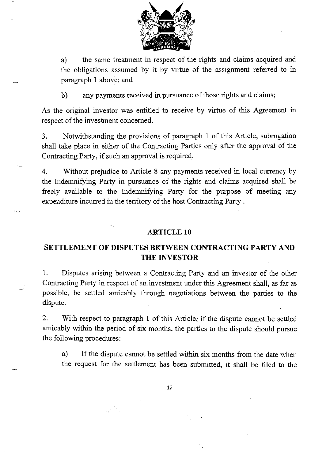

a) the same treatment in respect of the rights and claims acquired and the obligations assumed by it by virtue of the assignment referred to in paragraph 1 above; and

b) any payments received in pursuance of those rights and claims;

As the original investor was entitled to receive by virtue of this Agreement in respect of the investment concerned.

3. Notwithstanding the provisions of paragraph 1 of this Article, subrogation shall take place in either of the Contracting Parties only after the approval of the Contracting Party, if such an approval is required.

4. Without prejudice to Article 8 any payments received in local currency by the Indemnifying Party in pursuance of the rights and claims acquired shall be freely available to the Indemnifying Party for the purpose of meeting any expenditure incurred in the territory of the host Contracting Party.

## **ARTICLE 10**

# **SETTLEMENT OF DISPUTES BETWEEN CONTRACTING PARTY AND THE INVESTOR**

1. Disputes arising between a Contracting Party and an investor of the other Contracting Party in respect of an .investment under this Agreement shall, as far as possible, be settled amicably through negotiations between the parties to the dispute.

2. With respect to paragraph 1 of this Article; if the dispute cannot be settled amicably within the period of six months, the parties to the dispute should pursue the following procedures:

a) If the dispute cannot be settled within six months from the date when the request for the settlement has been submitted, it shall be filed to the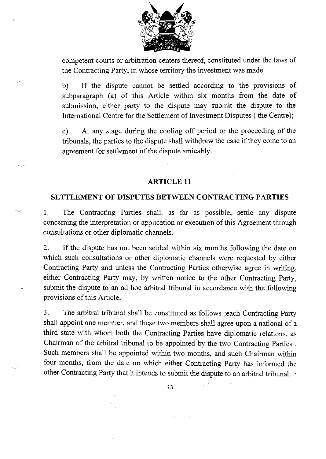

competent courts or arbitration centers thereof, constituted under the laws of the Contracting Party, in whose territory the investment was made.

b) If the dispute cannot be settled according to the provisions of subparagraph (a) of this Article within six months from the date of submission, either party to the dispute may submit the dispute to the International Centre for the Settlement of Investment Disputes (the Centre);

c) At any stage during the cooling off period or the proceeding of the tribunals, the parties to the dispute shall withdraw the case if they come to an agreement for settlement of the dispute amicably.

## **ARTICLE 11**

### **SETTLEMENT OF DISPUTES BETWEEN CONTRACTING PARTIES**

1. The Contracting Parties shall, as far as possible, settle any dispute concerning the interpretation or application or execution of this Agreement through consultations or other diplomatic channels:

2. If the dispute has not been settled within six months following the date on which such consultations or other diplomatic channels were requested by either Contracting Party and unless the Contracting Parties otherwise agree in writing, either Contracting Party may, by written notice to the other Contracting Party, submit the dispute to an ad hoc arbitral tribunal in accordance with the following provisions of this Article.

3. The arbitral tribunal shall be constituted as follows :each Contracting Party shall appoint one member, and these two members shall agree upon a national of a third state with whom both the Contracting Parties have diplomatic relations, as Chairman of the arbitral tribunal to be appointed by the two Contracting Parties . Such members shall be appointed within two months, and such Chairman within four months, from the date on which either Contracting Party has informed the other Contracting Party that it intends to submit the dispute to an arbitral tribunal.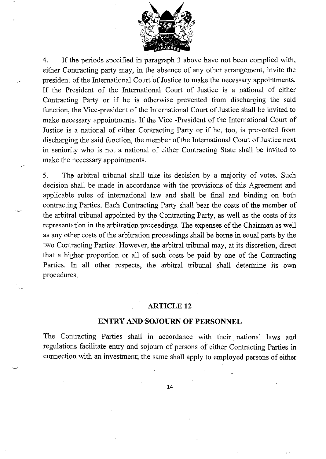

4. If the periods specified in paragraph 3 above have not been complied with, either Contracting party may, in the absence of any other arrangement, invite the president of the International Court of Justice to make the necessary appointments. If the President of the International Court of Justice is a national of either Contracting Party or if he is otherwise prevented from discharging the said function, the Vice-president of the International Court of Justice shall be invited to make necessary appointments. If the Vice -President of the International Court of Justice is a national of either Contracting Party or if he, too, is prevented from discharging the said function, the member of the International Court of Justice next in seniority who is not a national of either Contracting State shali be invited to make the necessary appointments.

5. The arbitral tribunal shall take its decision by a majority of votes. Such decision shall be made in accordance with the provisions of this Agreement and applicable rules of international law and shall be final and binding on both contracting Parties. Each Contracting Party shall bear the costs of the member of the arbitral tribunal appointed by the Contracting Party, as well as the costs of its representation in the arbitration proceedings. The expenses of the Chairman as well as any other costs of the arbitration proceedings shall be borne in equal parts by the two Contracting Parties. However, the arbitral tribunal may, at its discretion, direct that a higher proportion or all of such costs be paid by one of the Contracting Parties. In all other respects, the arbitral tribunal shall determine its own procedures.

'~

#### **ARTICLE 12**

#### **ENTRY AND SOJOURN OF PERSONNEL**

The Contracting Parties shall in accordance with their national laws and regulations facilitate entry and sojourn of persons of either Contracting Parties in connection with an investment; the same shall apply to employed persons of either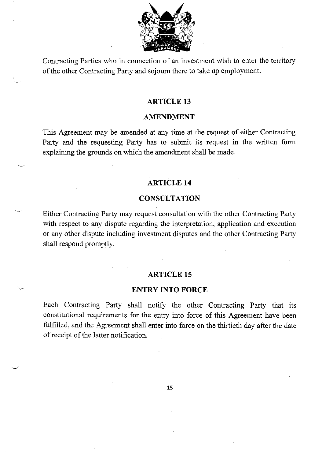

Contracting Parties who in connection of an investment wish to enter the territory of the other Contracting Party and sojourn there to take up employment.

### **ARTICLE 13**

#### **AMENDMENT**

This Agreement may be amended at any time at the request of either Contracting Party and the requesting Party has to submit its request in the written form explaining the grounds on which the amendment shall be made.

## **ARTICLE 14**

#### **CONSULTATION**

Either Contracting Party may request consultation with the other Contracting Party with respect to any dispute regarding the interpretation, application and execution or any other dispute including investment disputes and the other Contracting Party shall respond promptly.

#### **ARTICLE 15**

#### **ENTRY INTO FORCE**

Each Contracting Party shall notify the other Contracting Party that its constitutional requirements for the *entrj* into force of this Agreement have been fulfilled, and the Agreement shall enter into force on the thirtieth day after the date of receipt of the latter notification.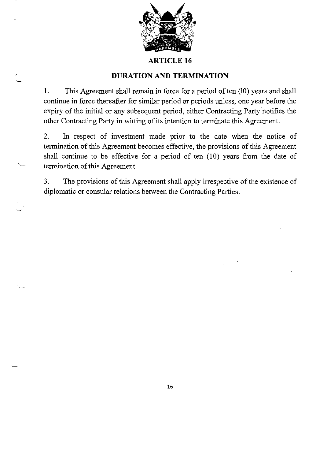

### **ARTICLE 16**

## **DURATION AND TERMINATION**

1. This Agreement shall remain in force for a period of ten (10) years and shall continue in force thereafter for similar period or periods unless, one year before the expiry of the initial or any subsequent period, either Contracting Party notifies the other Contracting Party in witting of its intention to terminate this Agreement.

2. In respect of investment made prior to the date when the notice of termination of this Agreement becomes effective, the provisions of this Agreement shall continue to be effective for a period of ten (10) years from the date of termination of this Agreement.

3. The provisions of this Agreement shall apply irrespective of the existence of diplomatic or consular relations between the Contracting Parties.